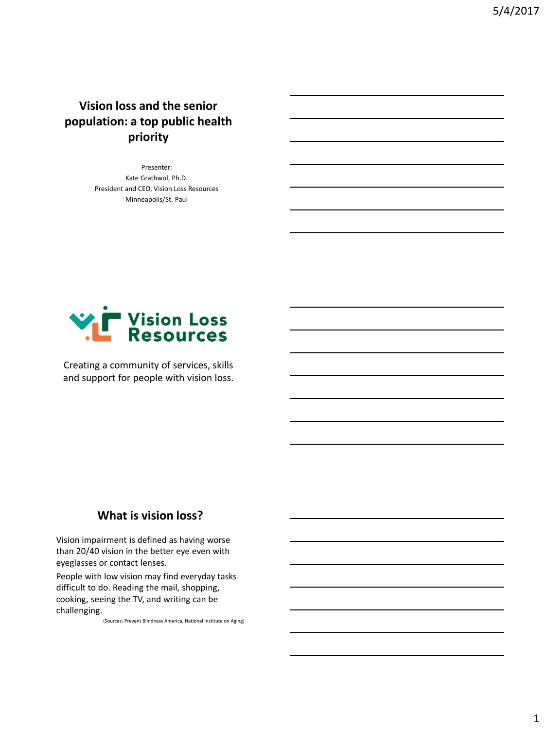**Vision loss and the senior population: a top public health priority**

> Presenter: Kate Grathwol, Ph.D. President and CEO, Vision Loss Resources Minneapolis/St. Paul



Creating a community of services, skills and support for people with vision loss.

#### **What is vision loss?**

Vision impairment is defined as having worse than 20/40 vision in the better eye even with eyeglasses or contact lenses.

People with low vision may find everyday tasks difficult to do. Reading the mail, shopping, cooking, seeing the TV, and writing can be challenging.

(Sources: Prevent Blindness America, National Institute on Aging)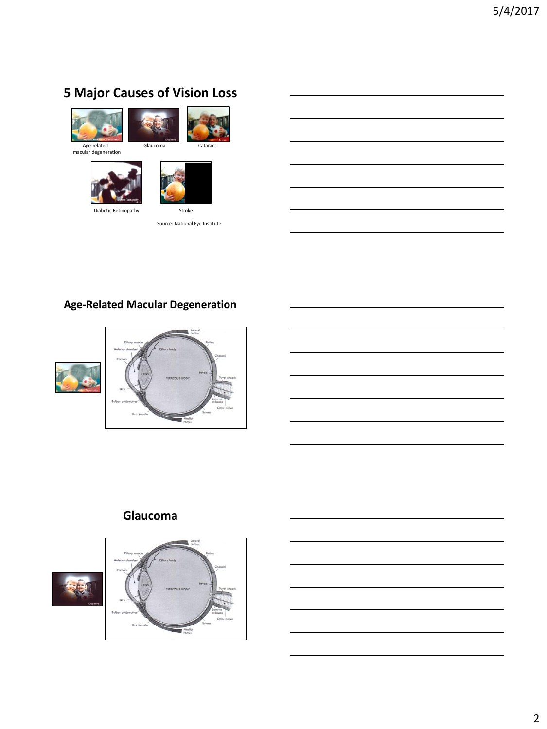# **5 Major Causes of Vision Loss**









Diabetic Retinopathy Stroke

Source: National Eye Institute

## **Age-Related Macular Degeneration**





## **Glaucoma**



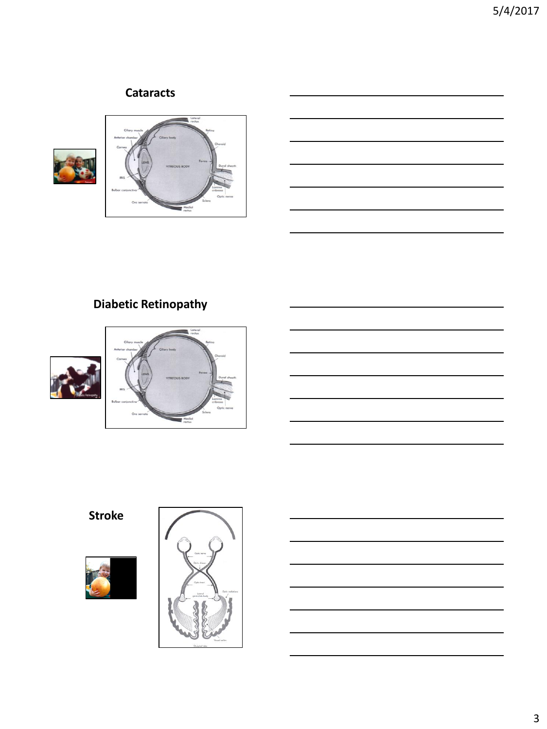## **Cataracts**







# **Diabetic Retinopathy**





**Stroke**



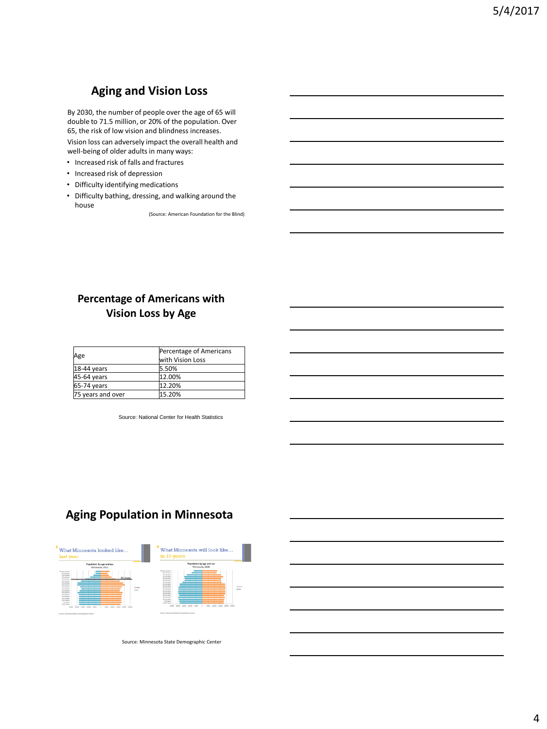## **Aging and Vision Loss**

By 2030, the number of people over the age of 65 will double to 71.5 million, or 20% of the population. Over 65, the risk of low vision and blindness increases.

Vision loss can adversely impact the overall health and well-being of older adults in many ways:

- Increased risk of falls and fractures
- Increased risk of depression
- Difficulty identifying medications
- Difficulty bathing, dressing, and walking around the house

(Source: American Foundation for the Blind)

## **Percentage of Americans with Vision Loss by Age**

| Age               | Percentage of Americans<br>with Vision Loss |
|-------------------|---------------------------------------------|
| $ 18-44$ years    | 5.50%                                       |
| 45-64 years       | 12.00%                                      |
| 65-74 years       | 12.20%                                      |
| 75 years and over | 15.20%                                      |

Source: National Center for Health Statistics

## **Aging Population in Minnesota**



Source: Minnesota State Demographic Center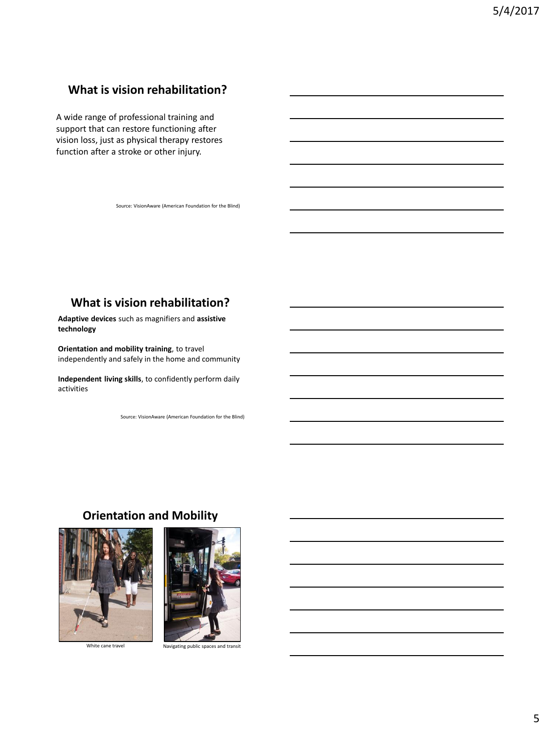## **What is vision rehabilitation?**

A wide range of professional training and support that can restore functioning after vision loss, just as physical therapy restores function after a stroke or other injury.

Source: VisionAware (American Foundation for the Blind)

## **What is vision rehabilitation?**

**Adaptive devices** such as magnifiers and **assistive technology**

**Orientation and mobility training**, to travel independently and safely in the home and community

**Independent living skills**, to confidently perform daily activities

Source: VisionAware (American Foundation for the Blind)

#### **Orientation and Mobility**





White cane travel Navigating public spaces and transit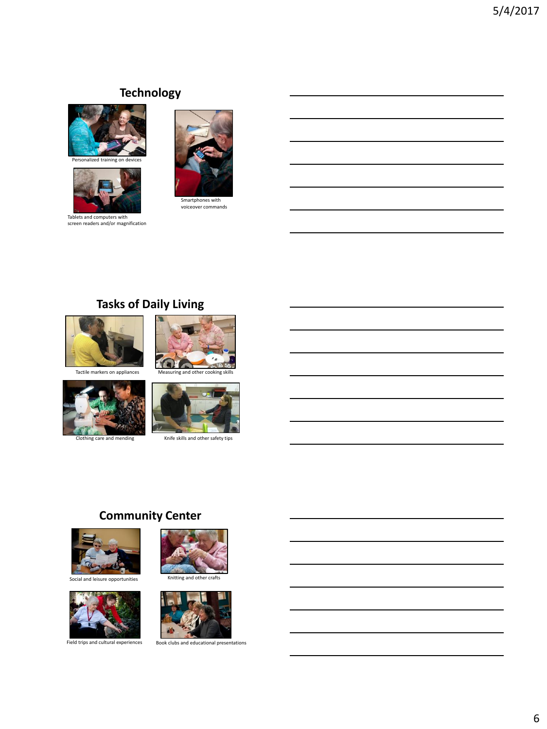## **Technology**



nalized training on



Tablets and computers with screen readers and/or magnification



Smartphones with voiceover commands

## **Tasks of Daily Living**











Clothing care and mending Knife skills and other safety tips

## **Community Center**









Field trips and cultural experiences Book clubs and educational presentations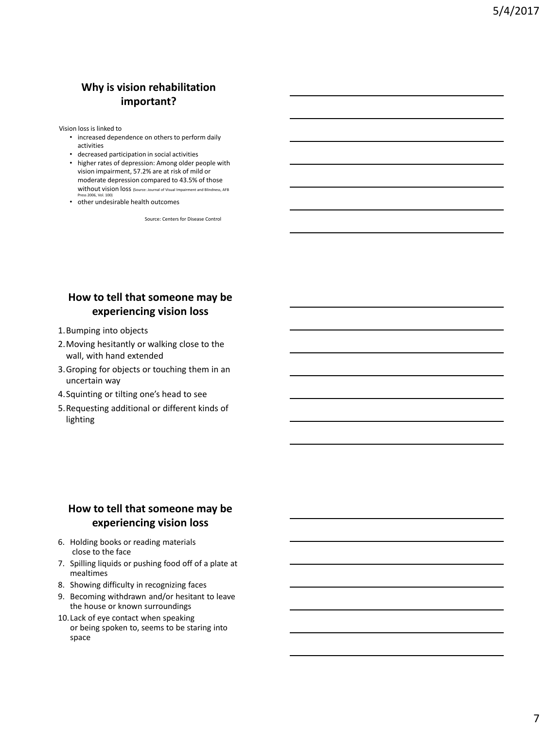## **Why is vision rehabilitation important?**

Vision loss is linked to

- increased dependence on others to perform daily activities
- decreased participation in social activities
- higher rates of depression: Among older people with vision impairment, 57.2% are at risk of mild or moderate depression compared to 43.5% of those without vision loss (Source: Journal of Visual Impairment and Blindness, AFB
- Press 2006, Vol. 100)<br>• other undesirable health outcomes

Source: Centers for Disease Control

## **How to tell that someone may be experiencing vision loss**

- 1.Bumping into objects
- 2.Moving hesitantly or walking close to the wall, with hand extended
- 3.Groping for objects or touching them in an uncertain way
- 4.Squinting or tilting one's head to see
- 5.Requesting additional or different kinds of lighting

#### **How to tell that someone may be experiencing vision loss**

- 6. Holding books or reading materials close to the face
- 7. Spilling liquids or pushing food off of a plate at mealtimes
- 8. Showing difficulty in recognizing faces
- 9. Becoming withdrawn and/or hesitant to leave the house or known surroundings
- 10.Lack of eye contact when speaking or being spoken to, seems to be staring into space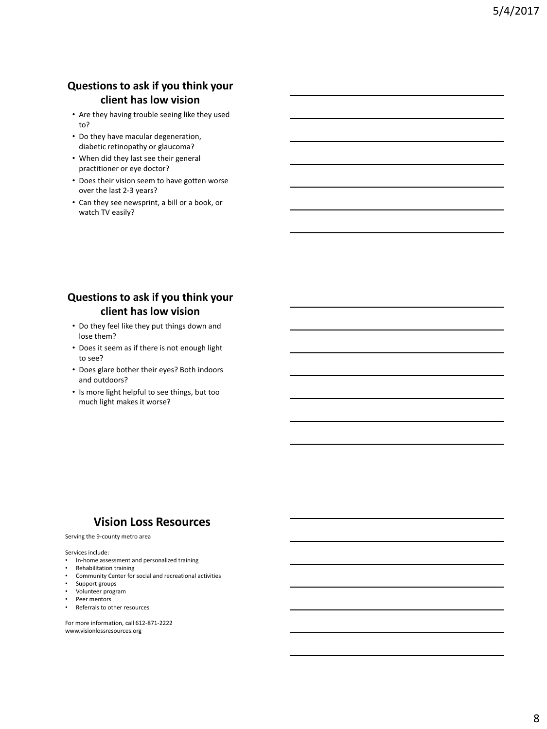## **Questions to ask if you think your client has low vision**

- Are they having trouble seeing like they used to?
- Do they have macular degeneration, diabetic retinopathy or glaucoma?
- When did they last see their general practitioner or eye doctor?
- Does their vision seem to have gotten worse over the last 2-3 years?
- Can they see newsprint, a bill or a book, or watch TV easily?

### **Questions to ask if you think your client has low vision**

- Do they feel like they put things down and lose them?
- Does it seem as if there is not enough light to see?
- Does glare bother their eyes? Both indoors and outdoors?
- Is more light helpful to see things, but too much light makes it worse?

#### **Vision Loss Resources**

#### Serving the 9-county metro area

#### Services include:

- In-home assessment and personalized training
- Rehabilitation training
- Community Center for social and recreational activities
- Support groups
- Volunteer program
- Peer mentors<br>• Referrals to of
- Referrals to other resources

For more information, call 612-871-2222 www.visionlossresources.org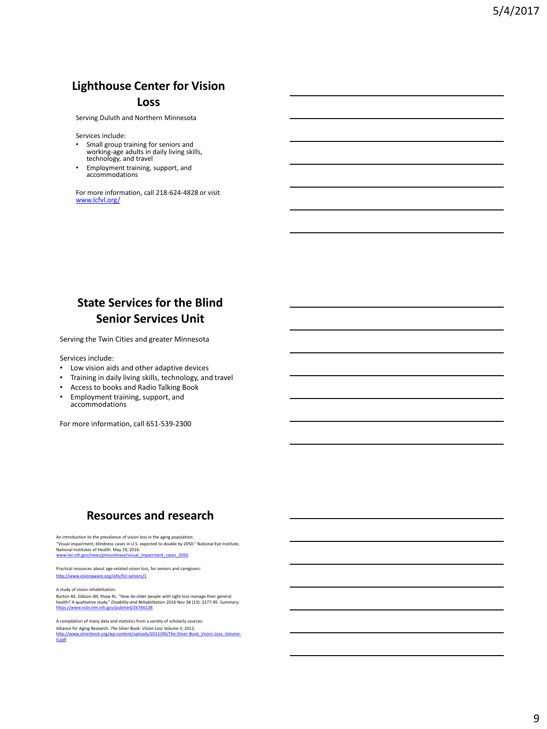## **Lighthouse Center for Vision Loss**

Serving Duluth and Northern Minnesota

Services include:

- Small group training for seniors and working-age adults in daily living skills, technology, and travel
- Employment training, support, and accommodations

For more information, call 218-624-4828 or visit [www.lcfvl.org/](http://www.lcfvl.org/)

## **State Services for the Blind Senior Services Unit**

Serving the Twin Cities and greater Minnesota

Services include:

- Low vision aids and other adaptive devices
- Training in daily living skills, technology, and travel
- Access to books and Radio Talking Book
- Employment training, support, and accommodations

For more information, call 651-539-2300

## **Resources and research**

An introduction to the prevalence of vision loss in the aging population: "Visual impairment, blindness cases in U.S. expected to double by 2050." National Eye Institute, National Institutes of Health. May 19, 2016.

[www.nei.nih.gov/news/pressrelease/visual\\_impairment\\_cases\\_2050](https://www.nei.nih.gov/news/pressrelease/visual_impairment_cases_2050)

Practical resources about age-related vision loss, for seniors and caregivers: <http://www.visionaware.org/info/for-seniors/1>

A study of vision rehabilitation:

Burton AE, Gibson JM, Shaw RL. "How do older people with sight loss manage their general<br>health? A qualitative study." *Disobility and Rehobilitotion* 2016 Nov 38 (23): 2277-85. Summary:<br>ht<mark>tps://www.ncbi.nlm.nih.gov/pubme</mark>

A compilation of many data and statistics from a variety of scholarly sources: Alliance for Aging Research. *The Silver Book: Vision Loss Volume II*, 2012.<br>http://www.silverbook.org/wp-content/uploads/2015/06/The-Silver-Book\_Vision-Loss\_Volume-<br>II.<u>pdf</u>